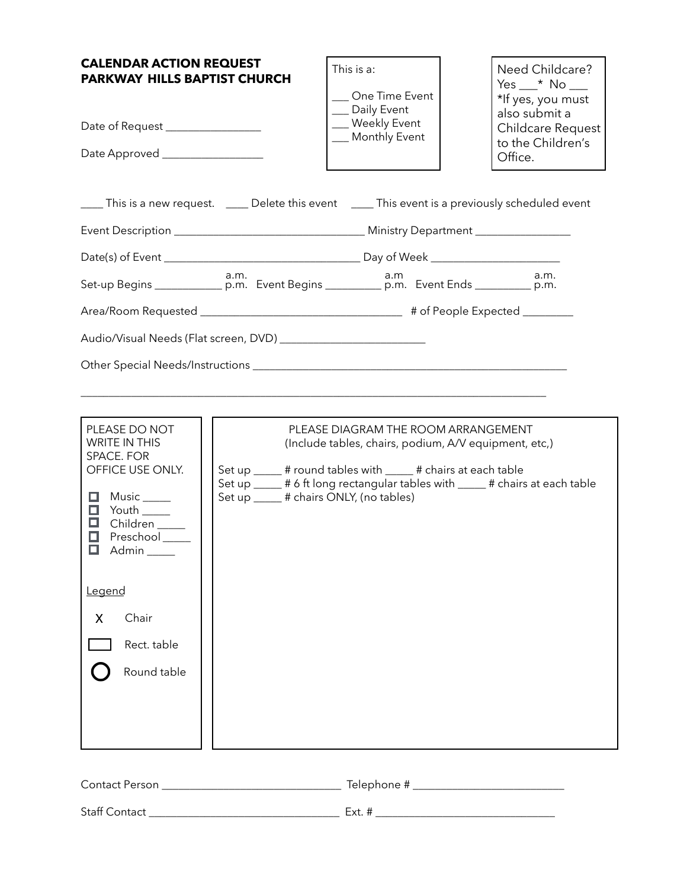| <b>CALENDAR ACTION REQUEST</b><br><b>PARKWAY HILLS BAPTIST CHURCH</b><br>Date of Request ________________<br>Date Approved __________________                                                                                                  |                                         | This is a:<br>One Time Event<br>__ Daily Event<br>_ Weekly Event<br>__ Monthly Event                                                                          | Need Childcare?<br>Yes $\_\star$ No $\_\_\$<br>*If yes, you must<br>also submit a<br>Childcare Request<br>to the Children's<br>Office. |
|------------------------------------------------------------------------------------------------------------------------------------------------------------------------------------------------------------------------------------------------|-----------------------------------------|---------------------------------------------------------------------------------------------------------------------------------------------------------------|----------------------------------------------------------------------------------------------------------------------------------------|
|                                                                                                                                                                                                                                                |                                         |                                                                                                                                                               | ____ This is a new request. _____ Delete this event _____ This event is a previously scheduled event                                   |
|                                                                                                                                                                                                                                                |                                         |                                                                                                                                                               |                                                                                                                                        |
|                                                                                                                                                                                                                                                |                                         |                                                                                                                                                               |                                                                                                                                        |
|                                                                                                                                                                                                                                                |                                         |                                                                                                                                                               | a.m.                                                                                                                                   |
|                                                                                                                                                                                                                                                |                                         |                                                                                                                                                               |                                                                                                                                        |
|                                                                                                                                                                                                                                                |                                         |                                                                                                                                                               |                                                                                                                                        |
| PLEASE DO NOT<br><b>WRITE IN THIS</b><br>SPACE. FOR<br>OFFICE USE ONLY.<br>$\Box$ Music _____<br>Youth $\rule{1em}{0.15mm}$<br>o<br>◻<br>Children ____<br>◻<br>Preschool<br>□<br>Admin _<br>Legend<br>Chair<br>X<br>Rect. table<br>Round table | Set up _____ # chairs ONLY, (no tables) | PLEASE DIAGRAM THE ROOM ARRANGEMENT<br>(Include tables, chairs, podium, A/V equipment, etc,)<br>Set up _____ # round tables with _____ # chairs at each table | Set up _____ # 6 ft long rectangular tables with _____ # chairs at each table                                                          |
| Contact Person                                                                                                                                                                                                                                 |                                         |                                                                                                                                                               |                                                                                                                                        |

| <b>Staff Contact</b> |
|----------------------|
|----------------------|